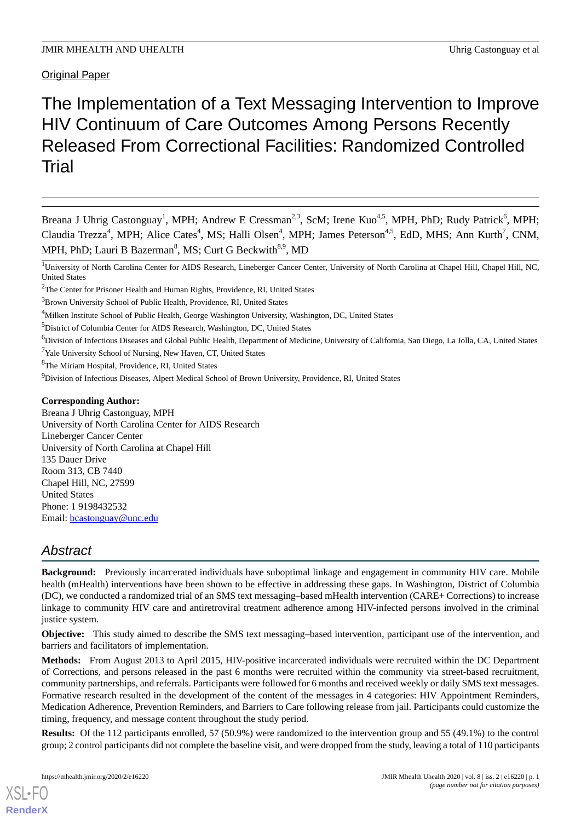Original Paper

# The Implementation of a Text Messaging Intervention to Improve HIV Continuum of Care Outcomes Among Persons Recently Released From Correctional Facilities: Randomized Controlled Trial

Breana J Uhrig Castonguay<sup>1</sup>, MPH; Andrew E Cressman<sup>2,3</sup>, ScM; Irene Kuo<sup>4,5</sup>, MPH, PhD; Rudy Patrick<sup>6</sup>, MPH; Claudia Trezza<sup>4</sup>, MPH; Alice Cates<sup>4</sup>, MS; Halli Olsen<sup>4</sup>, MPH; James Peterson<sup>4,5</sup>, EdD, MHS; Ann Kurth<sup>7</sup>, CNM, MPH, PhD; Lauri B Bazerman<sup>8</sup>, MS; Curt G Beckwith<sup>8,9</sup>, MD

<sup>6</sup>Division of Infectious Diseases and Global Public Health, Department of Medicine, University of California, San Diego, La Jolla, CA, United States

<sup>7</sup>Yale University School of Nursing, New Haven, CT, United States

<sup>8</sup>The Miriam Hospital, Providence, RI, United States

<sup>9</sup>Division of Infectious Diseases, Alpert Medical School of Brown University, Providence, RI, United States

# **Corresponding Author:**

Breana J Uhrig Castonguay, MPH University of North Carolina Center for AIDS Research Lineberger Cancer Center University of North Carolina at Chapel Hill 135 Dauer Drive Room 313, CB 7440 Chapel Hill, NC, 27599 United States Phone: 1 9198432532 Email: [bcastonguay@unc.edu](mailto:bcastonguay@unc.edu)

# *Abstract*

**Background:** Previously incarcerated individuals have suboptimal linkage and engagement in community HIV care. Mobile health (mHealth) interventions have been shown to be effective in addressing these gaps. In Washington, District of Columbia (DC), we conducted a randomized trial of an SMS text messaging–based mHealth intervention (CARE+ Corrections) to increase linkage to community HIV care and antiretroviral treatment adherence among HIV-infected persons involved in the criminal justice system.

**Objective:** This study aimed to describe the SMS text messaging–based intervention, participant use of the intervention, and barriers and facilitators of implementation.

**Methods:** From August 2013 to April 2015, HIV-positive incarcerated individuals were recruited within the DC Department of Corrections, and persons released in the past 6 months were recruited within the community via street-based recruitment, community partnerships, and referrals. Participants were followed for 6 months and received weekly or daily SMS text messages. Formative research resulted in the development of the content of the messages in 4 categories: HIV Appointment Reminders, Medication Adherence, Prevention Reminders, and Barriers to Care following release from jail. Participants could customize the timing, frequency, and message content throughout the study period.

**Results:** Of the 112 participants enrolled, 57 (50.9%) were randomized to the intervention group and 55 (49.1%) to the control group; 2 control participants did not complete the baseline visit, and were dropped from the study, leaving a total of 110 participants

<sup>&</sup>lt;sup>1</sup>University of North Carolina Center for AIDS Research, Lineberger Cancer Center, University of North Carolina at Chapel Hill, Chapel Hill, NC, United States

<sup>&</sup>lt;sup>2</sup>The Center for Prisoner Health and Human Rights, Providence, RI, United States

<sup>&</sup>lt;sup>3</sup>Brown University School of Public Health, Providence, RI, United States

<sup>&</sup>lt;sup>4</sup>Milken Institute School of Public Health, George Washington University, Washington, DC, United States

<sup>5</sup>District of Columbia Center for AIDS Research, Washington, DC, United States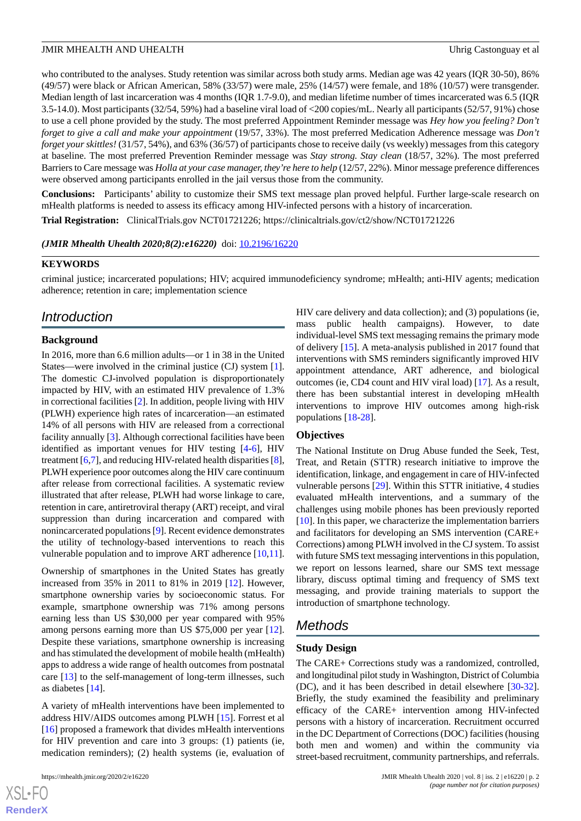who contributed to the analyses. Study retention was similar across both study arms. Median age was 42 years (IQR 30-50), 86% (49/57) were black or African American, 58% (33/57) were male, 25% (14/57) were female, and 18% (10/57) were transgender. Median length of last incarceration was 4 months (IQR 1.7-9.0), and median lifetime number of times incarcerated was 6.5 (IQR 3.5-14.0). Most participants (32/54, 59%) had a baseline viral load of <200 copies/mL. Nearly all participants (52/57, 91%) chose to use a cell phone provided by the study. The most preferred Appointment Reminder message was *Hey how you feeling? Don't forget to give a call and make your appointment* (19/57, 33%). The most preferred Medication Adherence message was *Don't forget your skittles!* (31/57, 54%), and 63% (36/57) of participants chose to receive daily (vs weekly) messages from this category at baseline. The most preferred Prevention Reminder message was *Stay strong. Stay clean* (18/57, 32%). The most preferred Barriers to Care message was *Holla at your case manager, they're here to help* (12/57, 22%). Minor message preference differences were observed among participants enrolled in the jail versus those from the community.

**Conclusions:** Participants' ability to customize their SMS text message plan proved helpful. Further large-scale research on mHealth platforms is needed to assess its efficacy among HIV-infected persons with a history of incarceration.

**Trial Registration:** ClinicalTrials.gov NCT01721226; https://clinicaltrials.gov/ct2/show/NCT01721226

*(JMIR Mhealth Uhealth 2020;8(2):e16220)* doi:  $10.2196/16220$ 

#### **KEYWORDS**

criminal justice; incarcerated populations; HIV; acquired immunodeficiency syndrome; mHealth; anti-HIV agents; medication adherence; retention in care; implementation science

# *Introduction*

# **Background**

In 2016, more than 6.6 million adults—or 1 in 38 in the United States—were involved in the criminal justice (CJ) system [[1\]](#page-12-0). The domestic CJ-involved population is disproportionately impacted by HIV, with an estimated HIV prevalence of 1.3% in correctional facilities [[2\]](#page-12-1). In addition, people living with HIV (PLWH) experience high rates of incarceration—an estimated 14% of all persons with HIV are released from a correctional facility annually [[3\]](#page-12-2). Although correctional facilities have been identified as important venues for HIV testing [[4-](#page-12-3)[6](#page-12-4)], HIV treatment [[6](#page-12-4)[,7](#page-12-5)], and reducing HIV-related health disparities [[8\]](#page-12-6), PLWH experience poor outcomes along the HIV care continuum after release from correctional facilities. A systematic review illustrated that after release, PLWH had worse linkage to care, retention in care, antiretroviral therapy (ART) receipt, and viral suppression than during incarceration and compared with nonincarcerated populations [[9\]](#page-12-7). Recent evidence demonstrates the utility of technology-based interventions to reach this vulnerable population and to improve ART adherence [\[10](#page-12-8),[11\]](#page-12-9).

Ownership of smartphones in the United States has greatly increased from 35% in 2011 to 81% in 2019 [\[12](#page-12-10)]. However, smartphone ownership varies by socioeconomic status. For example, smartphone ownership was 71% among persons earning less than US \$30,000 per year compared with 95% among persons earning more than US \$75,000 per year [[12\]](#page-12-10). Despite these variations, smartphone ownership is increasing and has stimulated the development of mobile health (mHealth) apps to address a wide range of health outcomes from postnatal care [[13\]](#page-12-11) to the self-management of long-term illnesses, such as diabetes [[14\]](#page-12-12).

A variety of mHealth interventions have been implemented to address HIV/AIDS outcomes among PLWH [[15\]](#page-12-13). Forrest et al [[16\]](#page-12-14) proposed a framework that divides mHealth interventions for HIV prevention and care into 3 groups: (1) patients (ie, medication reminders); (2) health systems (ie, evaluation of

HIV care delivery and data collection); and (3) populations (ie, mass public health campaigns). However, to date individual-level SMS text messaging remains the primary mode of delivery [[15\]](#page-12-13). A meta-analysis published in 2017 found that interventions with SMS reminders significantly improved HIV appointment attendance, ART adherence, and biological outcomes (ie, CD4 count and HIV viral load) [[17\]](#page-12-15). As a result, there has been substantial interest in developing mHealth interventions to improve HIV outcomes among high-risk populations [\[18](#page-12-16)-[28\]](#page-13-0).

#### **Objectives**

The National Institute on Drug Abuse funded the Seek, Test, Treat, and Retain (STTR) research initiative to improve the identification, linkage, and engagement in care of HIV-infected vulnerable persons [[29\]](#page-13-1). Within this STTR initiative, 4 studies evaluated mHealth interventions, and a summary of the challenges using mobile phones has been previously reported [[10\]](#page-12-8). In this paper, we characterize the implementation barriers and facilitators for developing an SMS intervention (CARE+ Corrections) among PLWH involved in the CJ system. To assist with future SMS text messaging interventions in this population, we report on lessons learned, share our SMS text message library, discuss optimal timing and frequency of SMS text messaging, and provide training materials to support the introduction of smartphone technology.

# *Methods*

#### **Study Design**

The CARE+ Corrections study was a randomized, controlled, and longitudinal pilot study in Washington, District of Columbia (DC), and it has been described in detail elsewhere [[30-](#page-13-2)[32\]](#page-13-3). Briefly, the study examined the feasibility and preliminary efficacy of the CARE+ intervention among HIV-infected persons with a history of incarceration. Recruitment occurred in the DC Department of Corrections (DOC) facilities (housing both men and women) and within the community via street-based recruitment, community partnerships, and referrals.

```
XSI - F(RenderX
```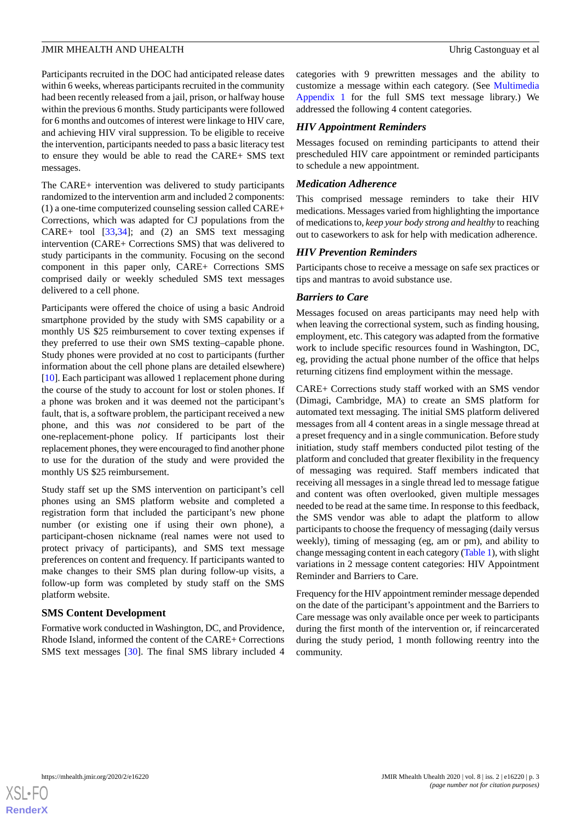Participants recruited in the DOC had anticipated release dates within 6 weeks, whereas participants recruited in the community had been recently released from a jail, prison, or halfway house within the previous 6 months. Study participants were followed for 6 months and outcomes of interest were linkage to HIV care, and achieving HIV viral suppression. To be eligible to receive the intervention, participants needed to pass a basic literacy test to ensure they would be able to read the CARE+ SMS text messages.

The CARE+ intervention was delivered to study participants randomized to the intervention arm and included 2 components: (1) a one-time computerized counseling session called CARE+ Corrections, which was adapted for CJ populations from the CARE+ tool [[33](#page-13-4)[,34](#page-13-5)]; and (2) an SMS text messaging intervention (CARE+ Corrections SMS) that was delivered to study participants in the community. Focusing on the second component in this paper only, CARE+ Corrections SMS comprised daily or weekly scheduled SMS text messages delivered to a cell phone.

Participants were offered the choice of using a basic Android smartphone provided by the study with SMS capability or a monthly US \$25 reimbursement to cover texting expenses if they preferred to use their own SMS texting–capable phone. Study phones were provided at no cost to participants (further information about the cell phone plans are detailed elsewhere) [[10\]](#page-12-8). Each participant was allowed 1 replacement phone during the course of the study to account for lost or stolen phones. If a phone was broken and it was deemed not the participant's fault, that is, a software problem, the participant received a new phone, and this was *not* considered to be part of the one-replacement-phone policy. If participants lost their replacement phones, they were encouraged to find another phone to use for the duration of the study and were provided the monthly US \$25 reimbursement.

Study staff set up the SMS intervention on participant's cell phones using an SMS platform website and completed a registration form that included the participant's new phone number (or existing one if using their own phone), a participant-chosen nickname (real names were not used to protect privacy of participants), and SMS text message preferences on content and frequency. If participants wanted to make changes to their SMS plan during follow-up visits, a follow-up form was completed by study staff on the SMS platform website.

#### **SMS Content Development**

Formative work conducted in Washington, DC, and Providence, Rhode Island, informed the content of the CARE+ Corrections SMS text messages [[30\]](#page-13-2). The final SMS library included 4

categories with 9 prewritten messages and the ability to customize a message within each category. (See [Multimedia](#page-11-0) [Appendix 1](#page-11-0) for the full SMS text message library.) We addressed the following 4 content categories.

### *HIV Appointment Reminders*

Messages focused on reminding participants to attend their prescheduled HIV care appointment or reminded participants to schedule a new appointment.

#### *Medication Adherence*

This comprised message reminders to take their HIV medications. Messages varied from highlighting the importance of medications to, *keep your body strong and healthy* to reaching out to caseworkers to ask for help with medication adherence.

#### *HIV Prevention Reminders*

Participants chose to receive a message on safe sex practices or tips and mantras to avoid substance use.

#### *Barriers to Care*

Messages focused on areas participants may need help with when leaving the correctional system, such as finding housing, employment, etc. This category was adapted from the formative work to include specific resources found in Washington, DC, eg, providing the actual phone number of the office that helps returning citizens find employment within the message.

CARE+ Corrections study staff worked with an SMS vendor (Dimagi, Cambridge, MA) to create an SMS platform for automated text messaging. The initial SMS platform delivered messages from all 4 content areas in a single message thread at a preset frequency and in a single communication. Before study initiation, study staff members conducted pilot testing of the platform and concluded that greater flexibility in the frequency of messaging was required. Staff members indicated that receiving all messages in a single thread led to message fatigue and content was often overlooked, given multiple messages needed to be read at the same time. In response to this feedback, the SMS vendor was able to adapt the platform to allow participants to choose the frequency of messaging (daily versus weekly), timing of messaging (eg, am or pm), and ability to change messaging content in each category ([Table 1](#page-3-0)), with slight variations in 2 message content categories: HIV Appointment Reminder and Barriers to Care.

Frequency for the HIV appointment reminder message depended on the date of the participant's appointment and the Barriers to Care message was only available once per week to participants during the first month of the intervention or, if reincarcerated during the study period, 1 month following reentry into the community.

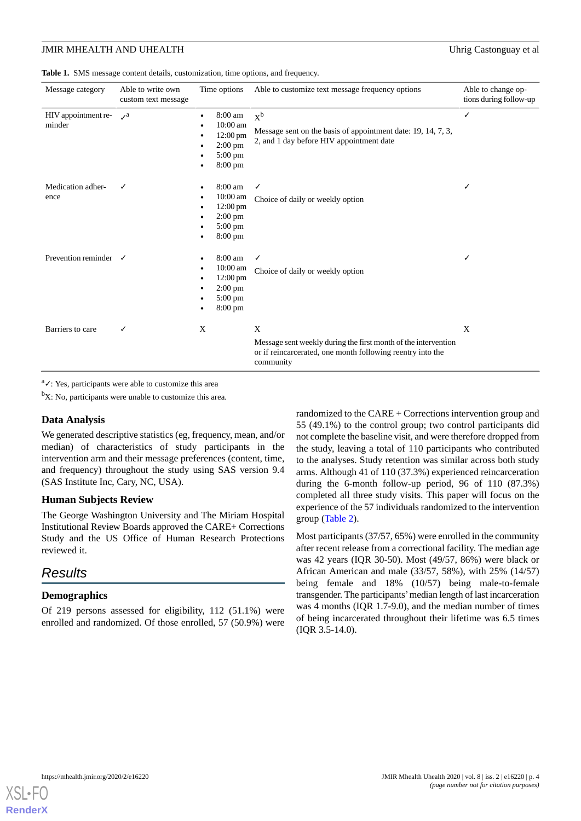<span id="page-3-0"></span>**Table 1.** SMS message content details, customization, time options, and frequency.

| Message category                 | Able to write own<br>custom text message | Time options                                                                                                    | Able to customize text message frequency options                                                                                               | Able to change op-<br>tions during follow-up |
|----------------------------------|------------------------------------------|-----------------------------------------------------------------------------------------------------------------|------------------------------------------------------------------------------------------------------------------------------------------------|----------------------------------------------|
| HIV appointment re-<br>minder    | $\mathcal{L}^a$                          | 8:00 am<br>10:00 am<br>$12:00 \text{ pm}$<br>$2:00$ pm<br>$5:00 \text{ pm}$<br>$8:00 \text{ pm}$                | $X^b$<br>Message sent on the basis of appointment date: 19, 14, 7, 3,<br>2, and 1 day before HIV appointment date                              | ✓                                            |
| Medication adher-<br>ence        | ✓                                        | $8:00 \text{ am}$<br>10:00 am<br>$12:00 \text{ pm}$<br>$2:00$ pm<br>$5:00 \text{ pm}$<br>$8:00 \text{ pm}$      | √<br>Choice of daily or weekly option                                                                                                          | ✓                                            |
| Prevention reminder $\checkmark$ |                                          | 8:00 am<br>$10:00$ am<br>$12:00 \text{ pm}$<br>$2:00 \text{ pm}$<br>$5:00 \text{ pm}$<br>$8:00 \text{ pm}$<br>٠ | ✓<br>Choice of daily or weekly option                                                                                                          | ✓                                            |
| Barriers to care                 | ✓                                        | X                                                                                                               | X<br>Message sent weekly during the first month of the intervention<br>or if reincarcerated, one month following reentry into the<br>community | X                                            |

 ${}^{a}\mathcal{L}$ : Yes, participants were able to customize this area

 ${}^{\text{b}}\text{X}$ : No, participants were unable to customize this area.

#### **Data Analysis**

We generated descriptive statistics (eg, frequency, mean, and/or median) of characteristics of study participants in the intervention arm and their message preferences (content, time, and frequency) throughout the study using SAS version 9.4 (SAS Institute Inc, Cary, NC, USA).

#### **Human Subjects Review**

The George Washington University and The Miriam Hospital Institutional Review Boards approved the CARE+ Corrections Study and the US Office of Human Research Protections reviewed it.

# *Results*

#### **Demographics**

Of 219 persons assessed for eligibility, 112 (51.1%) were enrolled and randomized. Of those enrolled, 57 (50.9%) were randomized to the CARE + Corrections intervention group and 55 (49.1%) to the control group; two control participants did not complete the baseline visit, and were therefore dropped from the study, leaving a total of 110 participants who contributed to the analyses. Study retention was similar across both study arms. Although 41 of 110 (37.3%) experienced reincarceration during the 6-month follow-up period, 96 of 110 (87.3%) completed all three study visits. This paper will focus on the experience of the 57 individuals randomized to the intervention group ([Table 2](#page-4-0)).

Most participants (37/57, 65%) were enrolled in the community after recent release from a correctional facility. The median age was 42 years (IQR 30-50). Most (49/57, 86%) were black or African American and male (33/57, 58%), with 25% (14/57) being female and 18% (10/57) being male-to-female transgender. The participants'median length of last incarceration was 4 months (IQR 1.7-9.0), and the median number of times of being incarcerated throughout their lifetime was 6.5 times (IQR 3.5-14.0).

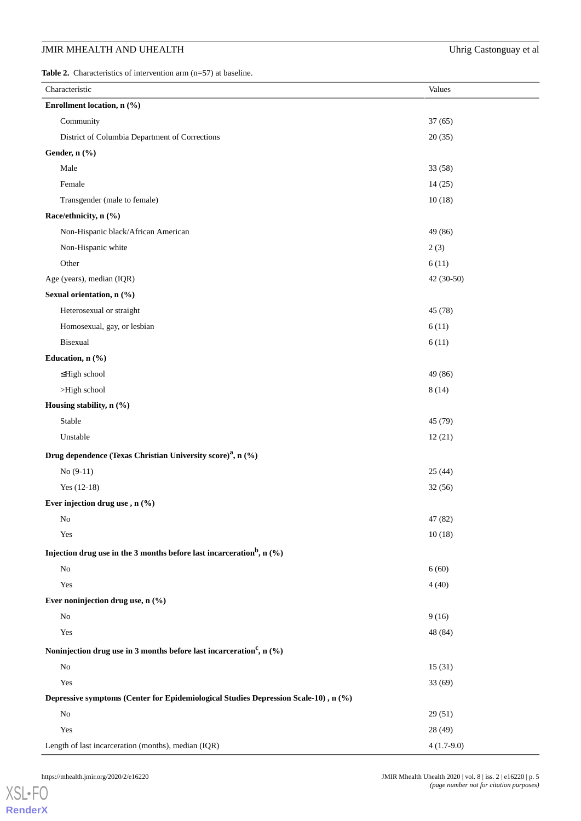<span id="page-4-0"></span>**Table 2.** Characteristics of intervention arm (n=57) at baseline.

| Characteristic                                                                       | Values       |
|--------------------------------------------------------------------------------------|--------------|
| Enrollment location, n (%)                                                           |              |
| Community                                                                            | 37(65)       |
| District of Columbia Department of Corrections                                       | 20(35)       |
| Gender, n (%)                                                                        |              |
| Male                                                                                 | 33 (58)      |
| Female                                                                               | 14(25)       |
| Transgender (male to female)                                                         | 10(18)       |
| Race/ethnicity, n (%)                                                                |              |
| Non-Hispanic black/African American                                                  | 49 (86)      |
| Non-Hispanic white                                                                   | 2(3)         |
| Other                                                                                | 6(11)        |
| Age (years), median (IQR)                                                            | 42 (30-50)   |
| Sexual orientation, n (%)                                                            |              |
| Heterosexual or straight                                                             | 45 (78)      |
| Homosexual, gay, or lesbian                                                          | 6(11)        |
| Bisexual                                                                             | 6(11)        |
| Education, n (%)                                                                     |              |
| ≤High school                                                                         | 49 (86)      |
| >High school                                                                         | 8(14)        |
| Housing stability, n (%)                                                             |              |
| Stable                                                                               | 45 (79)      |
| Unstable                                                                             | 12(21)       |
| Drug dependence (Texas Christian University score) <sup>a</sup> , n (%)              |              |
| $No(9-11)$                                                                           | 25(44)       |
| Yes (12-18)                                                                          | 32(56)       |
| Ever injection drug use, n (%)                                                       |              |
| No                                                                                   | 47 (82)      |
| Yes                                                                                  | 10(18)       |
| Injection drug use in the 3 months before last incarceration <sup>b</sup> , n $(\%)$ |              |
| No                                                                                   | 6(60)        |
| Yes                                                                                  | 4(40)        |
| Ever noninjection drug use, $n$ (%)                                                  |              |
| No                                                                                   | 9(16)        |
| Yes                                                                                  | 48 (84)      |
| Noninjection drug use in 3 months before last incarceration <sup>c</sup> , n $(\%)$  |              |
| No                                                                                   | 15(31)       |
| Yes                                                                                  | 33(69)       |
| Depressive symptoms (Center for Epidemiological Studies Depression Scale-10), n (%)  |              |
| No                                                                                   | 29(51)       |
| Yes                                                                                  | 28 (49)      |
| Length of last incarceration (months), median (IQR)                                  | $4(1.7-9.0)$ |

[XSL](http://www.w3.org/Style/XSL)•FO **[RenderX](http://www.renderx.com/)**

https://mhealth.jmir.org/2020/2/e16220 JMIR Mhealth Uhealth Uhealth Uhealth 2020 | vol. 8 | iss. 2 | e16220 | p. 5 *(page number not for citation purposes)*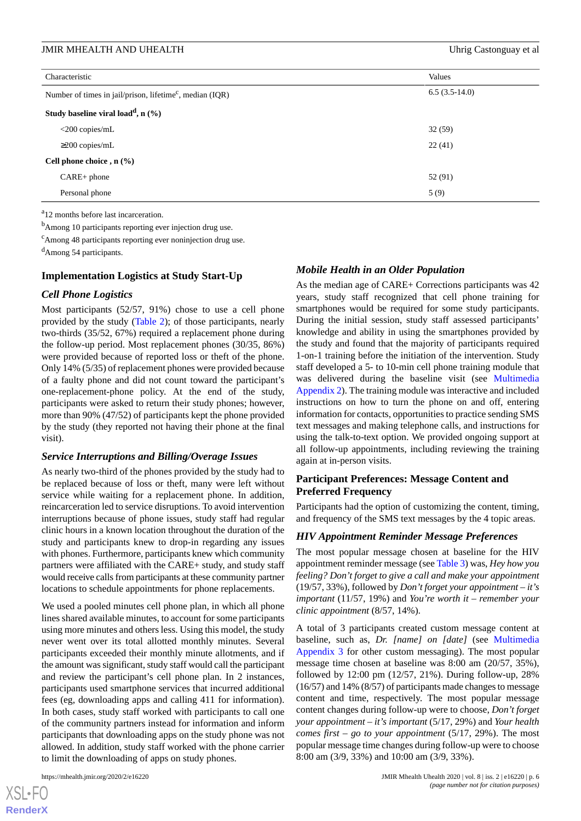| Characteristic                                                       | Values          |
|----------------------------------------------------------------------|-----------------|
| Number of times in jail/prison, lifetime <sup>c</sup> , median (IQR) | $6.5(3.5-14.0)$ |
| Study baseline viral load <sup>d</sup> , n $(\%)$                    |                 |
| $<$ 200 copies/mL                                                    | 32(59)          |
| $\geq$ 200 copies/mL                                                 | 22(41)          |
| Cell phone choice , $n$ (%)                                          |                 |
| $CARE+phone$                                                         | 52 (91)         |
| Personal phone                                                       | 5(9)            |

<sup>a</sup>12 months before last incarceration.

<sup>b</sup>Among 10 participants reporting ever injection drug use.

<sup>c</sup>Among 48 participants reporting ever noninjection drug use.

<sup>d</sup>Among 54 participants.

#### **Implementation Logistics at Study Start-Up**

#### *Cell Phone Logistics*

Most participants (52/57, 91%) chose to use a cell phone provided by the study [\(Table 2\)](#page-4-0); of those participants, nearly two-thirds (35/52, 67%) required a replacement phone during the follow-up period. Most replacement phones (30/35, 86%) were provided because of reported loss or theft of the phone. Only 14% (5/35) of replacement phones were provided because of a faulty phone and did not count toward the participant's one-replacement-phone policy. At the end of the study, participants were asked to return their study phones; however, more than 90% (47/52) of participants kept the phone provided by the study (they reported not having their phone at the final visit).

#### *Service Interruptions and Billing/Overage Issues*

As nearly two-third of the phones provided by the study had to be replaced because of loss or theft, many were left without service while waiting for a replacement phone. In addition, reincarceration led to service disruptions. To avoid intervention interruptions because of phone issues, study staff had regular clinic hours in a known location throughout the duration of the study and participants knew to drop-in regarding any issues with phones. Furthermore, participants knew which community partners were affiliated with the CARE+ study, and study staff would receive calls from participants at these community partner locations to schedule appointments for phone replacements.

We used a pooled minutes cell phone plan, in which all phone lines shared available minutes, to account for some participants using more minutes and others less. Using this model, the study never went over its total allotted monthly minutes. Several participants exceeded their monthly minute allotments, and if the amount was significant, study staff would call the participant and review the participant's cell phone plan. In 2 instances, participants used smartphone services that incurred additional fees (eg, downloading apps and calling 411 for information). In both cases, study staff worked with participants to call one of the community partners instead for information and inform participants that downloading apps on the study phone was not allowed. In addition, study staff worked with the phone carrier to limit the downloading of apps on study phones.

#### *Mobile Health in an Older Population*

As the median age of CARE+ Corrections participants was 42 years, study staff recognized that cell phone training for smartphones would be required for some study participants. During the initial session, study staff assessed participants' knowledge and ability in using the smartphones provided by the study and found that the majority of participants required 1-on-1 training before the initiation of the intervention. Study staff developed a 5- to 10-min cell phone training module that was delivered during the baseline visit (see [Multimedia](#page-11-1) [Appendix 2](#page-11-1)). The training module was interactive and included instructions on how to turn the phone on and off, entering information for contacts, opportunities to practice sending SMS text messages and making telephone calls, and instructions for using the talk-to-text option. We provided ongoing support at all follow-up appointments, including reviewing the training again at in-person visits.

# **Participant Preferences: Message Content and Preferred Frequency**

Participants had the option of customizing the content, timing, and frequency of the SMS text messages by the 4 topic areas.

# *HIV Appointment Reminder Message Preferences*

The most popular message chosen at baseline for the HIV appointment reminder message (see [Table 3\)](#page-6-0) was, *Hey how you feeling? Don't forget to give a call and make your appointment* (19/57, 33%), followed by *Don't forget your appointment – it's important* (11/57, 19%) and *You're worth it – remember your clinic appointment* (8/57, 14%).

A total of 3 participants created custom message content at baseline, such as, *Dr. [name] on [date]* (see [Multimedia](#page-11-2) [Appendix 3](#page-11-2) for other custom messaging). The most popular message time chosen at baseline was 8:00 am (20/57, 35%), followed by 12:00 pm (12/57, 21%). During follow-up, 28% (16/57) and 14% (8/57) of participants made changes to message content and time, respectively. The most popular message content changes during follow-up were to choose, *Don't forget your appointment – it's important* (5/17, 29%) and *Your health comes first – go to your appointment* (5/17, 29%). The most popular message time changes during follow-up were to choose 8:00 am (3/9, 33%) and 10:00 am (3/9, 33%).

 $XS$ -FO **[RenderX](http://www.renderx.com/)**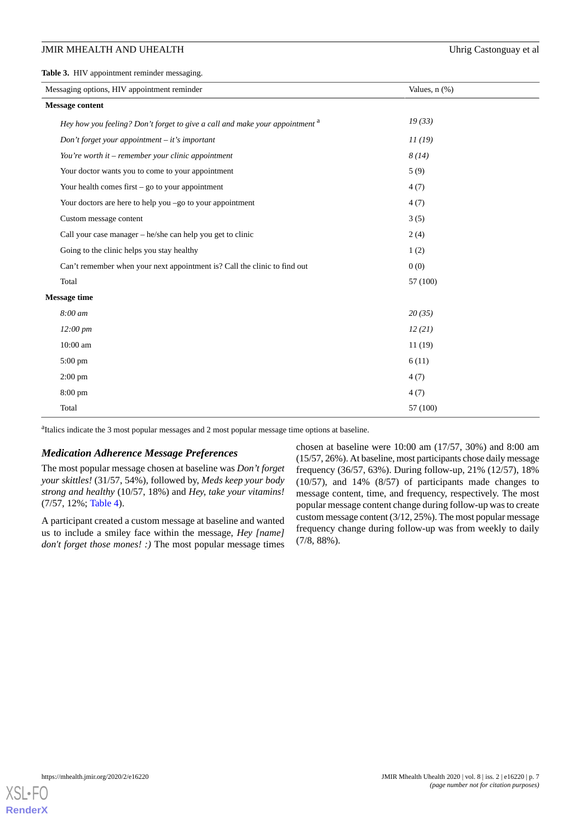#### JMIR MHEALTH AND UHEALTH **Internal and the Uhrig Castonguay et al**

<span id="page-6-0"></span>**Table 3.** HIV appointment reminder messaging.

| Messaging options, HIV appointment reminder                                             | Values, $n$ $(\%)$ |  |
|-----------------------------------------------------------------------------------------|--------------------|--|
| <b>Message content</b>                                                                  |                    |  |
| Hey how you feeling? Don't forget to give a call and make your appointment <sup>a</sup> | 19(33)             |  |
| Don't forget your appointment $-$ it's important                                        | 11(19)             |  |
| You're worth it – remember your clinic appointment                                      | 8(14)              |  |
| Your doctor wants you to come to your appointment                                       | 5(9)               |  |
| Your health comes first $-$ go to your appointment                                      | 4(7)               |  |
| Your doctors are here to help you -go to your appointment                               | 4(7)               |  |
| Custom message content                                                                  | 3(5)               |  |
| Call your case manager – he/she can help you get to clinic                              | 2(4)               |  |
| Going to the clinic helps you stay healthy                                              | 1(2)               |  |
| Can't remember when your next appointment is? Call the clinic to find out               | 0(0)               |  |
| Total                                                                                   | 57 (100)           |  |
| <b>Message time</b>                                                                     |                    |  |
| 8:00 am                                                                                 | 20(35)             |  |
| $12:00 \; pm$                                                                           | 12(21)             |  |
| 10:00 am                                                                                | 11(19)             |  |
| $5:00 \text{ pm}$                                                                       | 6(11)              |  |
| $2:00 \text{ pm}$                                                                       | 4(7)               |  |
| $8:00 \text{ pm}$                                                                       | 4(7)               |  |
| Total                                                                                   | 57 (100)           |  |

<sup>a</sup>Italics indicate the 3 most popular messages and 2 most popular message time options at baseline.

#### *Medication Adherence Message Preferences*

The most popular message chosen at baseline was *Don't forget your skittles!* (31/57, 54%), followed by, *Meds keep your body strong and healthy* (10/57, 18%) and *Hey, take your vitamins!* (7/57, 12%; [Table 4\)](#page-7-0).

A participant created a custom message at baseline and wanted us to include a smiley face within the message, *Hey [name] don't forget those mones!* :) The most popular message times

chosen at baseline were 10:00 am (17/57, 30%) and 8:00 am (15/57, 26%). At baseline, most participants chose daily message frequency (36/57, 63%). During follow-up, 21% (12/57), 18% (10/57), and 14% (8/57) of participants made changes to message content, time, and frequency, respectively. The most popular message content change during follow-up was to create custom message content (3/12, 25%). The most popular message frequency change during follow-up was from weekly to daily (7/8, 88%).

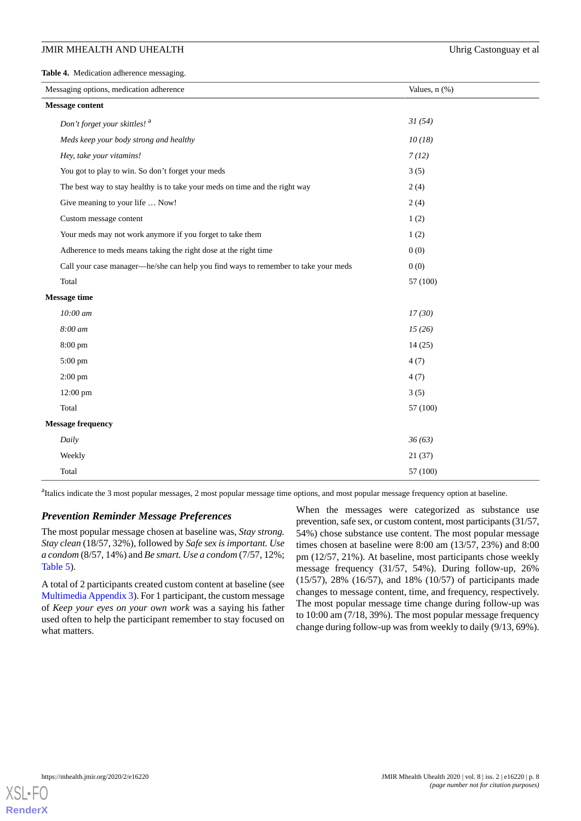#### JMIR MHEALTH AND UHEALTH **Internal and the United States** Uhrig Castonguay et al

<span id="page-7-0"></span>**Table 4.** Medication adherence messaging.

| Messaging options, medication adherence                                            | Values, $n$ $(\%)$ |  |
|------------------------------------------------------------------------------------|--------------------|--|
| <b>Message content</b>                                                             |                    |  |
| Don't forget your skittles! <sup>a</sup>                                           | 31(54)             |  |
| Meds keep your body strong and healthy                                             | 10(18)             |  |
| Hey, take your vitamins!                                                           | 7(12)              |  |
| You got to play to win. So don't forget your meds                                  | 3(5)               |  |
| The best way to stay healthy is to take your meds on time and the right way        | 2(4)               |  |
| Give meaning to your life  Now!                                                    | 2(4)               |  |
| Custom message content                                                             | 1(2)               |  |
| Your meds may not work anymore if you forget to take them                          | 1(2)               |  |
| Adherence to meds means taking the right dose at the right time                    | 0(0)               |  |
| Call your case manager-he/she can help you find ways to remember to take your meds | 0(0)               |  |
| Total                                                                              | 57 (100)           |  |
| <b>Message time</b>                                                                |                    |  |
| 10:00 am                                                                           | 17(30)             |  |
| 8:00 am                                                                            | 15(26)             |  |
| 8:00 pm                                                                            | 14(25)             |  |
| 5:00 pm                                                                            | 4(7)               |  |
| $2:00$ pm                                                                          | 4(7)               |  |
| $12:00$ pm                                                                         | 3(5)               |  |
| Total                                                                              | 57 (100)           |  |
| <b>Message frequency</b>                                                           |                    |  |
| Daily                                                                              | 36(63)             |  |
| Weekly                                                                             | 21(37)             |  |
| Total                                                                              | 57 (100)           |  |

<sup>a</sup> Italics indicate the 3 most popular messages, 2 most popular message time options, and most popular message frequency option at baseline.

#### *Prevention Reminder Message Preferences*

The most popular message chosen at baseline was, *Stay strong. Stay clean* (18/57, 32%), followed by *Safe sex is important. Use a condom* (8/57, 14%) and *Be smart. Use a condom* (7/57, 12%; [Table 5\)](#page-8-0).

A total of 2 participants created custom content at baseline (see [Multimedia Appendix 3\)](#page-11-2). For 1 participant, the custom message of *Keep your eyes on your own work* was a saying his father used often to help the participant remember to stay focused on what matters.

When the messages were categorized as substance use prevention, safe sex, or custom content, most participants (31/57, 54%) chose substance use content. The most popular message times chosen at baseline were 8:00 am (13/57, 23%) and 8:00 pm (12/57, 21%). At baseline, most participants chose weekly message frequency (31/57, 54%). During follow-up, 26% (15/57), 28% (16/57), and 18% (10/57) of participants made changes to message content, time, and frequency, respectively. The most popular message time change during follow-up was to 10:00 am (7/18, 39%). The most popular message frequency change during follow-up was from weekly to daily (9/13, 69%).

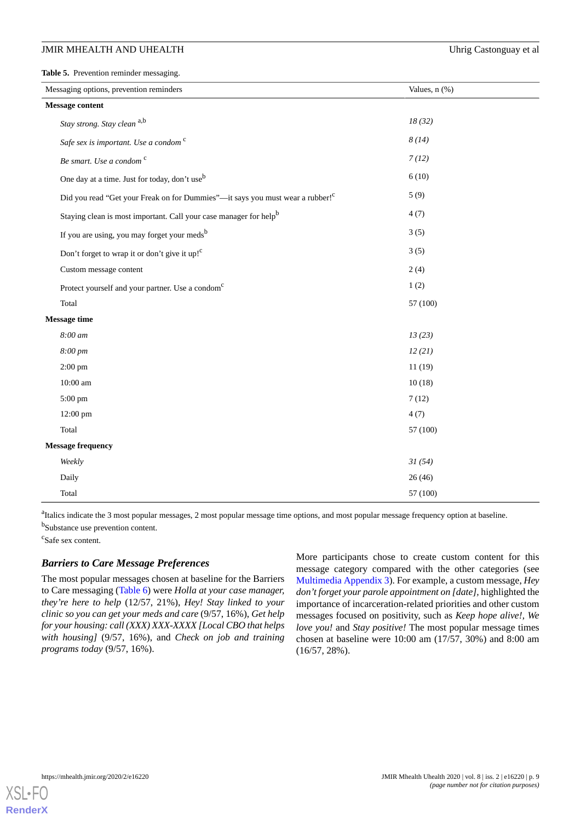#### JMIR MHEALTH AND UHEALTH **Internal and the United States** Uhrig Castonguay et al

<span id="page-8-0"></span>**Table 5.** Prevention reminder messaging.

| Messaging options, prevention reminders                                                   | Values, $n$ $(\%)$ |
|-------------------------------------------------------------------------------------------|--------------------|
| <b>Message content</b>                                                                    |                    |
| Stay strong. Stay clean a,b                                                               | 18(32)             |
| Safe sex is important. Use a condom <sup>c</sup>                                          | 8(14)              |
| Be smart. Use a condom <sup>c</sup>                                                       | 7(12)              |
| One day at a time. Just for today, don't use <sup>b</sup>                                 | 6(10)              |
| Did you read "Get your Freak on for Dummies"-it says you must wear a rubber! <sup>c</sup> | 5(9)               |
| Staying clean is most important. Call your case manager for help <sup>b</sup>             | 4(7)               |
| If you are using, you may forget your meds <sup>b</sup>                                   | 3(5)               |
| Don't forget to wrap it or don't give it up! <sup>c</sup>                                 | 3(5)               |
| Custom message content                                                                    | 2(4)               |
| Protect yourself and your partner. Use a condom <sup>c</sup>                              | 1(2)               |
| Total                                                                                     | 57 (100)           |
| <b>Message time</b>                                                                       |                    |
| 8:00 am                                                                                   | 13(23)             |
| 8:00 pm                                                                                   | 12(21)             |
| $2:00$ pm                                                                                 | 11(19)             |
| 10:00 am                                                                                  | 10(18)             |
| 5:00 pm                                                                                   | 7(12)              |
| 12:00 pm                                                                                  | 4(7)               |
| Total                                                                                     | 57 (100)           |
| <b>Message frequency</b>                                                                  |                    |
| Weekly                                                                                    | 31(54)             |
| Daily                                                                                     | 26(46)             |
| Total                                                                                     | 57 (100)           |
|                                                                                           |                    |

<sup>a</sup> Italics indicate the 3 most popular messages, 2 most popular message time options, and most popular message frequency option at baseline. <sup>b</sup>Substance use prevention content.

c Safe sex content.

### *Barriers to Care Message Preferences*

The most popular messages chosen at baseline for the Barriers to Care messaging ([Table 6](#page-9-0)) were *Holla at your case manager, they're here to help* (12/57, 21%), *Hey! Stay linked to your clinic so you can get your meds and care* (9/57, 16%), *Get help for your housing: call (XXX) XXX-XXXX [Local CBO that helps with housing]* (9/57, 16%), and *Check on job and training programs today* (9/57, 16%).

More participants chose to create custom content for this message category compared with the other categories (see [Multimedia Appendix 3\)](#page-11-2). For example, a custom message, *Hey don't forget your parole appointment on [date],* highlighted the importance of incarceration-related priorities and other custom messages focused on positivity, such as *Keep hope alive!, We love you!* and *Stay positive!* The most popular message times chosen at baseline were 10:00 am (17/57, 30%) and 8:00 am (16/57, 28%).

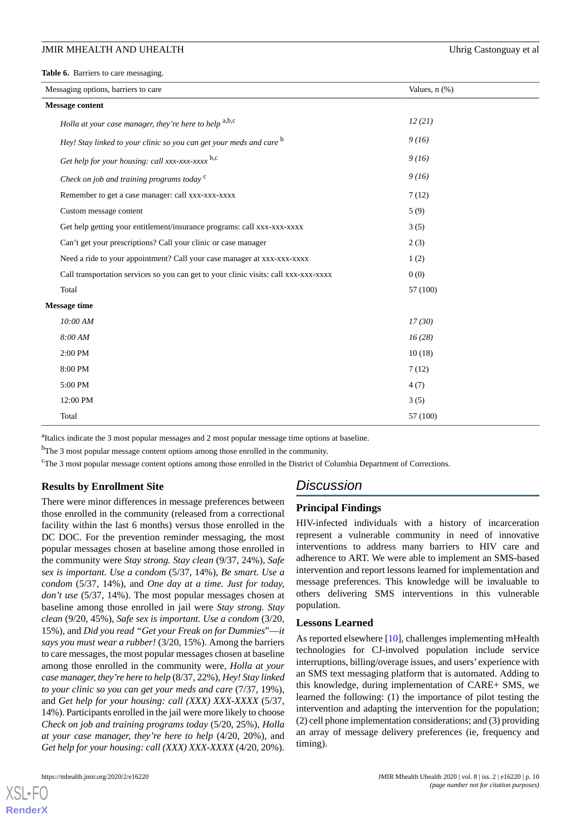<span id="page-9-0"></span>**Table 6.** Barriers to care messaging.

| Messaging options, barriers to care                                                  | Values, $n$ $(\%)$ |  |
|--------------------------------------------------------------------------------------|--------------------|--|
| <b>Message content</b>                                                               |                    |  |
| Holla at your case manager, they're here to help a,b,c                               | 12(21)             |  |
| Hey! Stay linked to your clinic so you can get your meds and care b                  | 9(16)              |  |
| Get help for your housing: call xxx-xxx-xxxx b,c                                     | 9(16)              |  |
| Check on job and training programs today <sup>c</sup>                                | 9(16)              |  |
| Remember to get a case manager: call xxx-xxx-xxxx                                    | 7(12)              |  |
| Custom message content                                                               | 5(9)               |  |
| Get help getting your entitlement/insurance programs: call xxx-xxx-xxxx              | 3(5)               |  |
| Can't get your prescriptions? Call your clinic or case manager                       | 2(3)               |  |
| Need a ride to your appointment? Call your case manager at xxx-xxx-xxxx              | 1(2)               |  |
| Call transportation services so you can get to your clinic visits: call xxx-xxx-xxxx | 0(0)               |  |
| Total                                                                                | 57 (100)           |  |
| <b>Message time</b>                                                                  |                    |  |
| 10:00 AM                                                                             | 17(30)             |  |
| 8:00 AM                                                                              | 16(28)             |  |
| 2:00 PM                                                                              | 10(18)             |  |
| 8:00 PM                                                                              | 7(12)              |  |
| 5:00 PM                                                                              | 4(7)               |  |
| 12:00 PM                                                                             | 3(5)               |  |
| Total                                                                                | 57 (100)           |  |

<sup>a</sup>Italics indicate the 3 most popular messages and 2 most popular message time options at baseline.

<sup>b</sup>The 3 most popular message content options among those enrolled in the community.

<sup>c</sup>The 3 most popular message content options among those enrolled in the District of Columbia Department of Corrections.

#### **Results by Enrollment Site**

There were minor differences in message preferences between those enrolled in the community (released from a correctional facility within the last 6 months) versus those enrolled in the DC DOC. For the prevention reminder messaging, the most popular messages chosen at baseline among those enrolled in the community were *Stay strong. Stay clean* (9/37, 24%), *Safe sex is important. Use a condom* (5/37, 14%), *Be smart. Use a condom* (5/37, 14%), and *One day at a time. Just for today, don't use* (5/37, 14%). The most popular messages chosen at baseline among those enrolled in jail were *Stay strong. Stay clean* (9/20, 45%), *Safe sex is important. Use a condom* (3/20, 15%), and *Did you read "Get your Freak on for Dummies*"—*it says you must wear a rubber!* (3/20, 15%). Among the barriers to care messages, the most popular messages chosen at baseline among those enrolled in the community were, *Holla at your case manager, they're here to help* (8/37, 22%), *Hey! Stay linked to your clinic so you can get your meds and care* (7/37, 19%), and *Get help for your housing: call (XXX) XXX-XXXX* (5/37, 14%). Participants enrolled in the jail were more likely to choose *Check on job and training programs today* (5/20, 25%), *Holla at your case manager, they're here to help* (4/20, 20%), and *Get help for your housing: call (XXX) XXX-XXXX* (4/20, 20%).

# *Discussion*

#### **Principal Findings**

HIV-infected individuals with a history of incarceration represent a vulnerable community in need of innovative interventions to address many barriers to HIV care and adherence to ART. We were able to implement an SMS-based intervention and report lessons learned for implementation and message preferences. This knowledge will be invaluable to others delivering SMS interventions in this vulnerable population.

#### **Lessons Learned**

As reported elsewhere [[10\]](#page-12-8), challenges implementing mHealth technologies for CJ-involved population include service interruptions, billing/overage issues, and users' experience with an SMS text messaging platform that is automated. Adding to this knowledge, during implementation of CARE+ SMS, we learned the following: (1) the importance of pilot testing the intervention and adapting the intervention for the population; (2) cell phone implementation considerations; and (3) providing an array of message delivery preferences (ie, frequency and timing).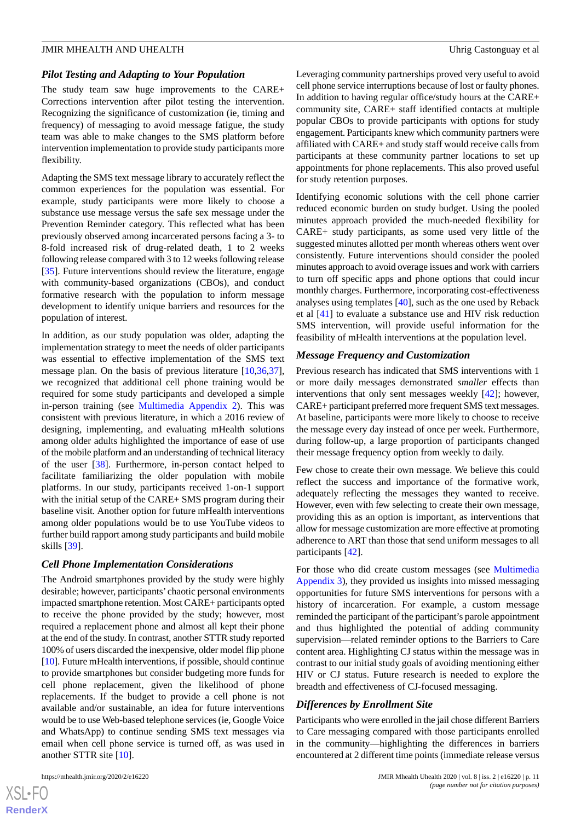#### *Pilot Testing and Adapting to Your Population*

The study team saw huge improvements to the CARE+ Corrections intervention after pilot testing the intervention. Recognizing the significance of customization (ie, timing and frequency) of messaging to avoid message fatigue, the study team was able to make changes to the SMS platform before intervention implementation to provide study participants more flexibility.

Adapting the SMS text message library to accurately reflect the common experiences for the population was essential. For example, study participants were more likely to choose a substance use message versus the safe sex message under the Prevention Reminder category. This reflected what has been previously observed among incarcerated persons facing a 3- to 8-fold increased risk of drug-related death, 1 to 2 weeks following release compared with 3 to 12 weeks following release [[35\]](#page-13-6). Future interventions should review the literature, engage with community-based organizations (CBOs), and conduct formative research with the population to inform message development to identify unique barriers and resources for the population of interest.

In addition, as our study population was older, adapting the implementation strategy to meet the needs of older participants was essential to effective implementation of the SMS text message plan. On the basis of previous literature [[10](#page-12-8)[,36](#page-13-7),[37\]](#page-13-8), we recognized that additional cell phone training would be required for some study participants and developed a simple in-person training (see [Multimedia Appendix 2\)](#page-11-1). This was consistent with previous literature, in which a 2016 review of designing, implementing, and evaluating mHealth solutions among older adults highlighted the importance of ease of use of the mobile platform and an understanding of technical literacy of the user [[38\]](#page-13-9). Furthermore, in-person contact helped to facilitate familiarizing the older population with mobile platforms. In our study, participants received 1-on-1 support with the initial setup of the CARE+ SMS program during their baseline visit. Another option for future mHealth interventions among older populations would be to use YouTube videos to further build rapport among study participants and build mobile skills [[39\]](#page-13-10).

#### *Cell Phone Implementation Considerations*

The Android smartphones provided by the study were highly desirable; however, participants' chaotic personal environments impacted smartphone retention. Most CARE+ participants opted to receive the phone provided by the study; however, most required a replacement phone and almost all kept their phone at the end of the study. In contrast, another STTR study reported 100% of users discarded the inexpensive, older model flip phone [[10\]](#page-12-8). Future mHealth interventions, if possible, should continue to provide smartphones but consider budgeting more funds for cell phone replacement, given the likelihood of phone replacements. If the budget to provide a cell phone is not available and/or sustainable, an idea for future interventions would be to use Web-based telephone services (ie, Google Voice and WhatsApp) to continue sending SMS text messages via email when cell phone service is turned off, as was used in another STTR site [[10\]](#page-12-8).

 $XS$ -FO **[RenderX](http://www.renderx.com/)** Leveraging community partnerships proved very useful to avoid cell phone service interruptions because of lost or faulty phones. In addition to having regular office/study hours at the CARE+ community site, CARE+ staff identified contacts at multiple popular CBOs to provide participants with options for study engagement. Participants knew which community partners were affiliated with CARE+ and study staff would receive calls from participants at these community partner locations to set up appointments for phone replacements. This also proved useful for study retention purposes*.*

Identifying economic solutions with the cell phone carrier reduced economic burden on study budget. Using the pooled minutes approach provided the much-needed flexibility for CARE+ study participants, as some used very little of the suggested minutes allotted per month whereas others went over consistently. Future interventions should consider the pooled minutes approach to avoid overage issues and work with carriers to turn off specific apps and phone options that could incur monthly charges. Furthermore, incorporating cost-effectiveness analyses using templates [\[40](#page-13-11)], such as the one used by Reback et al [[41\]](#page-14-0) to evaluate a substance use and HIV risk reduction SMS intervention, will provide useful information for the feasibility of mHealth interventions at the population level.

#### *Message Frequency and Customization*

Previous research has indicated that SMS interventions with 1 or more daily messages demonstrated *smaller* effects than interventions that only sent messages weekly [\[42](#page-14-1)]; however, CARE+ participant preferred more frequent SMS text messages. At baseline, participants were more likely to choose to receive the message every day instead of once per week. Furthermore, during follow-up, a large proportion of participants changed their message frequency option from weekly to daily.

Few chose to create their own message. We believe this could reflect the success and importance of the formative work, adequately reflecting the messages they wanted to receive. However, even with few selecting to create their own message, providing this as an option is important, as interventions that allow for message customization are more effective at promoting adherence to ART than those that send uniform messages to all participants [\[42](#page-14-1)].

For those who did create custom messages (see [Multimedia](#page-11-2) [Appendix 3\)](#page-11-2), they provided us insights into missed messaging opportunities for future SMS interventions for persons with a history of incarceration. For example, a custom message reminded the participant of the participant's parole appointment and thus highlighted the potential of adding community supervision—related reminder options to the Barriers to Care content area. Highlighting CJ status within the message was in contrast to our initial study goals of avoiding mentioning either HIV or CJ status. Future research is needed to explore the breadth and effectiveness of CJ-focused messaging.

#### *Differences by Enrollment Site*

Participants who were enrolled in the jail chose different Barriers to Care messaging compared with those participants enrolled in the community—highlighting the differences in barriers encountered at 2 different time points (immediate release versus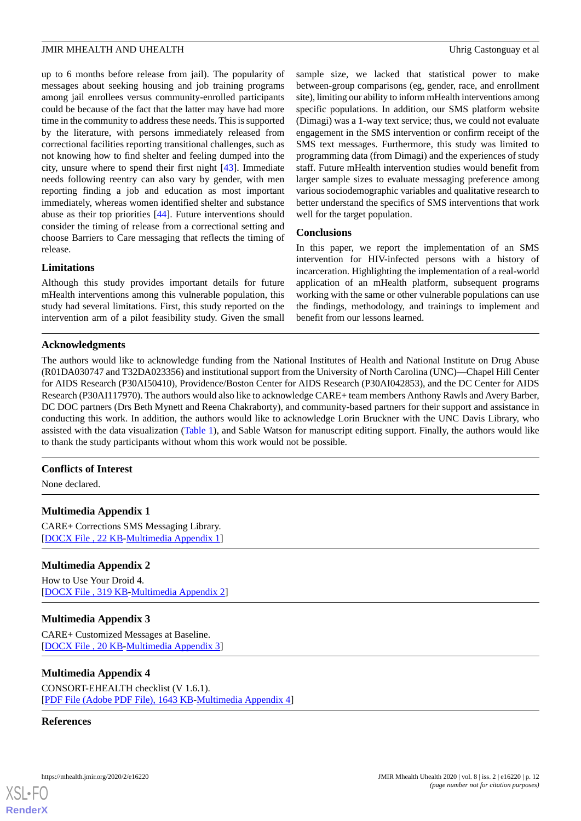up to 6 months before release from jail). The popularity of messages about seeking housing and job training programs among jail enrollees versus community-enrolled participants could be because of the fact that the latter may have had more time in the community to address these needs. This is supported by the literature, with persons immediately released from correctional facilities reporting transitional challenges, such as not knowing how to find shelter and feeling dumped into the city, unsure where to spend their first night [\[43](#page-14-2)]. Immediate needs following reentry can also vary by gender, with men reporting finding a job and education as most important immediately, whereas women identified shelter and substance abuse as their top priorities [[44\]](#page-14-3). Future interventions should consider the timing of release from a correctional setting and choose Barriers to Care messaging that reflects the timing of release.

#### **Limitations**

Although this study provides important details for future mHealth interventions among this vulnerable population, this study had several limitations. First, this study reported on the intervention arm of a pilot feasibility study. Given the small

sample size, we lacked that statistical power to make between-group comparisons (eg, gender, race, and enrollment site), limiting our ability to inform mHealth interventions among specific populations. In addition, our SMS platform website (Dimagi) was a 1-way text service; thus, we could not evaluate engagement in the SMS intervention or confirm receipt of the SMS text messages. Furthermore, this study was limited to programming data (from Dimagi) and the experiences of study staff. Future mHealth intervention studies would benefit from larger sample sizes to evaluate messaging preference among various sociodemographic variables and qualitative research to better understand the specifics of SMS interventions that work well for the target population.

#### **Conclusions**

In this paper, we report the implementation of an SMS intervention for HIV-infected persons with a history of incarceration. Highlighting the implementation of a real-world application of an mHealth platform, subsequent programs working with the same or other vulnerable populations can use the findings, methodology, and trainings to implement and benefit from our lessons learned.

# **Acknowledgments**

The authors would like to acknowledge funding from the National Institutes of Health and National Institute on Drug Abuse (R01DA030747 and T32DA023356) and institutional support from the University of North Carolina (UNC)—Chapel Hill Center for AIDS Research (P30AI50410), Providence/Boston Center for AIDS Research (P30AI042853), and the DC Center for AIDS Research (P30AI117970). The authors would also like to acknowledge CARE+ team members Anthony Rawls and Avery Barber, DC DOC partners (Drs Beth Mynett and Reena Chakraborty), and community-based partners for their support and assistance in conducting this work. In addition, the authors would like to acknowledge Lorin Bruckner with the UNC Davis Library, who assisted with the data visualization ([Table 1\)](#page-3-0), and Sable Watson for manuscript editing support. Finally, the authors would like to thank the study participants without whom this work would not be possible.

#### <span id="page-11-0"></span>**Conflicts of Interest**

None declared.

#### <span id="page-11-1"></span>**Multimedia Appendix 1**

CARE+ Corrections SMS Messaging Library. [[DOCX File , 22 KB](https://jmir.org/api/download?alt_name=mhealth_v8i2e16220_app1.docx&filename=edfd313d989e0f3abab1d883f7f30054.docx)-[Multimedia Appendix 1\]](https://jmir.org/api/download?alt_name=mhealth_v8i2e16220_app1.docx&filename=edfd313d989e0f3abab1d883f7f30054.docx)

# <span id="page-11-2"></span>**Multimedia Appendix 2**

How to Use Your Droid 4. [[DOCX File , 319 KB-Multimedia Appendix 2\]](https://jmir.org/api/download?alt_name=mhealth_v8i2e16220_app2.docx&filename=ee8ea4f79df43995a1b9f64ee816304c.docx)

# **Multimedia Appendix 3**

CARE+ Customized Messages at Baseline. [[DOCX File , 20 KB](https://jmir.org/api/download?alt_name=mhealth_v8i2e16220_app3.docx&filename=fc9e4d06417d3d9fb00dffc167a9d4fa.docx)-[Multimedia Appendix 3\]](https://jmir.org/api/download?alt_name=mhealth_v8i2e16220_app3.docx&filename=fc9e4d06417d3d9fb00dffc167a9d4fa.docx)

#### **Multimedia Appendix 4**

CONSORT-EHEALTH checklist (V 1.6.1). [[PDF File \(Adobe PDF File\), 1643 KB](https://jmir.org/api/download?alt_name=mhealth_v8i2e16220_app4.pdf&filename=182fe0fd72823cd7b8d7c429cb76a5d4.pdf)-[Multimedia Appendix 4\]](https://jmir.org/api/download?alt_name=mhealth_v8i2e16220_app4.pdf&filename=182fe0fd72823cd7b8d7c429cb76a5d4.pdf)

#### **References**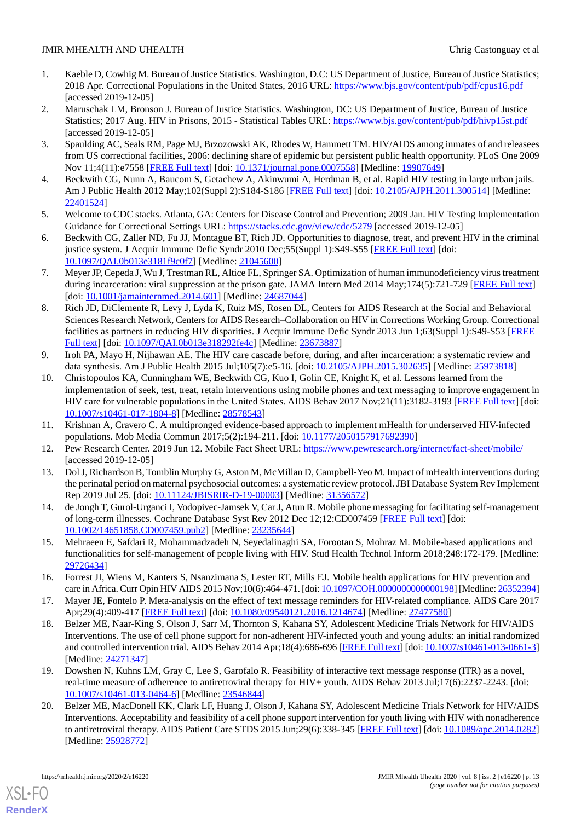- <span id="page-12-0"></span>1. Kaeble D, Cowhig M. Bureau of Justice Statistics. Washington, D.C: US Department of Justice, Bureau of Justice Statistics; 2018 Apr. Correctional Populations in the United States, 2016 URL: <https://www.bjs.gov/content/pub/pdf/cpus16.pdf> [accessed 2019-12-05]
- <span id="page-12-1"></span>2. Maruschak LM, Bronson J. Bureau of Justice Statistics. Washington, DC: US Department of Justice, Bureau of Justice Statistics; 2017 Aug. HIV in Prisons, 2015 - Statistical Tables URL: <https://www.bjs.gov/content/pub/pdf/hivp15st.pdf> [accessed 2019-12-05]
- <span id="page-12-2"></span>3. Spaulding AC, Seals RM, Page MJ, Brzozowski AK, Rhodes W, Hammett TM. HIV/AIDS among inmates of and releasees from US correctional facilities, 2006: declining share of epidemic but persistent public health opportunity. PLoS One 2009 Nov 11;4(11):e7558 [[FREE Full text](http://dx.plos.org/10.1371/journal.pone.0007558)] [doi: [10.1371/journal.pone.0007558](http://dx.doi.org/10.1371/journal.pone.0007558)] [Medline: [19907649](http://www.ncbi.nlm.nih.gov/entrez/query.fcgi?cmd=Retrieve&db=PubMed&list_uids=19907649&dopt=Abstract)]
- <span id="page-12-3"></span>4. Beckwith CG, Nunn A, Baucom S, Getachew A, Akinwumi A, Herdman B, et al. Rapid HIV testing in large urban jails. Am J Public Health 2012 May;102(Suppl 2):S184-S186 [[FREE Full text](http://europepmc.org/abstract/MED/22401524)] [doi: [10.2105/AJPH.2011.300514\]](http://dx.doi.org/10.2105/AJPH.2011.300514) [Medline: [22401524](http://www.ncbi.nlm.nih.gov/entrez/query.fcgi?cmd=Retrieve&db=PubMed&list_uids=22401524&dopt=Abstract)]
- <span id="page-12-4"></span>5. Welcome to CDC stacks. Atlanta, GA: Centers for Disease Control and Prevention; 2009 Jan. HIV Testing Implementation Guidance for Correctional Settings URL: <https://stacks.cdc.gov/view/cdc/5279> [accessed 2019-12-05]
- <span id="page-12-5"></span>6. Beckwith CG, Zaller ND, Fu JJ, Montague BT, Rich JD. Opportunities to diagnose, treat, and prevent HIV in the criminal justice system. J Acquir Immune Defic Syndr 2010 Dec;55(Suppl 1):S49-S55 [\[FREE Full text\]](http://europepmc.org/abstract/MED/21045600) [doi: [10.1097/QAI.0b013e3181f9c0f7\]](http://dx.doi.org/10.1097/QAI.0b013e3181f9c0f7) [Medline: [21045600](http://www.ncbi.nlm.nih.gov/entrez/query.fcgi?cmd=Retrieve&db=PubMed&list_uids=21045600&dopt=Abstract)]
- <span id="page-12-6"></span>7. Meyer JP, Cepeda J, Wu J, Trestman RL, Altice FL, Springer SA. Optimization of human immunodeficiency virus treatment during incarceration: viral suppression at the prison gate. JAMA Intern Med 2014 May;174(5):721-729 [\[FREE Full text\]](http://europepmc.org/abstract/MED/24687044) [doi: [10.1001/jamainternmed.2014.601](http://dx.doi.org/10.1001/jamainternmed.2014.601)] [Medline: [24687044\]](http://www.ncbi.nlm.nih.gov/entrez/query.fcgi?cmd=Retrieve&db=PubMed&list_uids=24687044&dopt=Abstract)
- <span id="page-12-7"></span>8. Rich JD, DiClemente R, Levy J, Lyda K, Ruiz MS, Rosen DL, Centers for AIDS Research at the Social and Behavioral Sciences Research Network, Centers for AIDS Research–Collaboration on HIV in Corrections Working Group. Correctional facilities as partners in reducing HIV disparities. J Acquir Immune Defic Syndr 2013 Jun 1;63(Suppl 1):S49-S53 [[FREE](http://europepmc.org/abstract/MED/23673887) [Full text\]](http://europepmc.org/abstract/MED/23673887) [doi: [10.1097/QAI.0b013e318292fe4c](http://dx.doi.org/10.1097/QAI.0b013e318292fe4c)] [Medline: [23673887](http://www.ncbi.nlm.nih.gov/entrez/query.fcgi?cmd=Retrieve&db=PubMed&list_uids=23673887&dopt=Abstract)]
- <span id="page-12-8"></span>9. Iroh PA, Mayo H, Nijhawan AE. The HIV care cascade before, during, and after incarceration: a systematic review and data synthesis. Am J Public Health 2015 Jul;105(7):e5-16. [doi: [10.2105/AJPH.2015.302635](http://dx.doi.org/10.2105/AJPH.2015.302635)] [Medline: [25973818\]](http://www.ncbi.nlm.nih.gov/entrez/query.fcgi?cmd=Retrieve&db=PubMed&list_uids=25973818&dopt=Abstract)
- <span id="page-12-9"></span>10. Christopoulos KA, Cunningham WE, Beckwith CG, Kuo I, Golin CE, Knight K, et al. Lessons learned from the implementation of seek, test, treat, retain interventions using mobile phones and text messaging to improve engagement in HIV care for vulnerable populations in the United States. AIDS Behav 2017 Nov;21(11):3182-3193 [\[FREE Full text](http://europepmc.org/abstract/MED/28578543)] [doi: [10.1007/s10461-017-1804-8\]](http://dx.doi.org/10.1007/s10461-017-1804-8) [Medline: [28578543](http://www.ncbi.nlm.nih.gov/entrez/query.fcgi?cmd=Retrieve&db=PubMed&list_uids=28578543&dopt=Abstract)]
- <span id="page-12-11"></span><span id="page-12-10"></span>11. Krishnan A, Cravero C. A multipronged evidence-based approach to implement mHealth for underserved HIV-infected populations. Mob Media Commun 2017;5(2):194-211. [doi: [10.1177/2050157917692390\]](http://dx.doi.org/10.1177/2050157917692390)
- <span id="page-12-12"></span>12. Pew Research Center. 2019 Jun 12. Mobile Fact Sheet URL:<https://www.pewresearch.org/internet/fact-sheet/mobile/> [accessed 2019-12-05]
- <span id="page-12-13"></span>13. Dol J, Richardson B, Tomblin Murphy G, Aston M, McMillan D, Campbell-Yeo M. Impact of mHealth interventions during the perinatal period on maternal psychosocial outcomes: a systematic review protocol. JBI Database System Rev Implement Rep 2019 Jul 25. [doi: [10.11124/JBISRIR-D-19-00003\]](http://dx.doi.org/10.11124/JBISRIR-D-19-00003) [Medline: [31356572\]](http://www.ncbi.nlm.nih.gov/entrez/query.fcgi?cmd=Retrieve&db=PubMed&list_uids=31356572&dopt=Abstract)
- <span id="page-12-14"></span>14. de Jongh T, Gurol-Urganci I, Vodopivec-Jamsek V, Car J, Atun R. Mobile phone messaging for facilitating self-management of long-term illnesses. Cochrane Database Syst Rev 2012 Dec 12;12:CD007459 [[FREE Full text](http://europepmc.org/abstract/MED/23235644)] [doi: [10.1002/14651858.CD007459.pub2\]](http://dx.doi.org/10.1002/14651858.CD007459.pub2) [Medline: [23235644](http://www.ncbi.nlm.nih.gov/entrez/query.fcgi?cmd=Retrieve&db=PubMed&list_uids=23235644&dopt=Abstract)]
- <span id="page-12-15"></span>15. Mehraeen E, Safdari R, Mohammadzadeh N, Seyedalinaghi SA, Forootan S, Mohraz M. Mobile-based applications and functionalities for self-management of people living with HIV. Stud Health Technol Inform 2018;248:172-179. [Medline: [29726434](http://www.ncbi.nlm.nih.gov/entrez/query.fcgi?cmd=Retrieve&db=PubMed&list_uids=29726434&dopt=Abstract)]
- <span id="page-12-16"></span>16. Forrest JI, Wiens M, Kanters S, Nsanzimana S, Lester RT, Mills EJ. Mobile health applications for HIV prevention and care in Africa. Curr Opin HIV AIDS 2015 Nov;10(6):464-471. [doi: [10.1097/COH.0000000000000198](http://dx.doi.org/10.1097/COH.0000000000000198)] [Medline: [26352394\]](http://www.ncbi.nlm.nih.gov/entrez/query.fcgi?cmd=Retrieve&db=PubMed&list_uids=26352394&dopt=Abstract)
- 17. Mayer JE, Fontelo P. Meta-analysis on the effect of text message reminders for HIV-related compliance. AIDS Care 2017 Apr;29(4):409-417 [\[FREE Full text\]](http://europepmc.org/abstract/MED/27477580) [doi: [10.1080/09540121.2016.1214674](http://dx.doi.org/10.1080/09540121.2016.1214674)] [Medline: [27477580](http://www.ncbi.nlm.nih.gov/entrez/query.fcgi?cmd=Retrieve&db=PubMed&list_uids=27477580&dopt=Abstract)]
- 18. Belzer ME, Naar-King S, Olson J, Sarr M, Thornton S, Kahana SY, Adolescent Medicine Trials Network for HIV/AIDS Interventions. The use of cell phone support for non-adherent HIV-infected youth and young adults: an initial randomized and controlled intervention trial. AIDS Behav 2014 Apr;18(4):686-696 [[FREE Full text\]](http://europepmc.org/abstract/MED/24271347) [doi: [10.1007/s10461-013-0661-3\]](http://dx.doi.org/10.1007/s10461-013-0661-3) [Medline: [24271347](http://www.ncbi.nlm.nih.gov/entrez/query.fcgi?cmd=Retrieve&db=PubMed&list_uids=24271347&dopt=Abstract)]
- 19. Dowshen N, Kuhns LM, Gray C, Lee S, Garofalo R. Feasibility of interactive text message response (ITR) as a novel, real-time measure of adherence to antiretroviral therapy for HIV+ youth. AIDS Behav 2013 Jul;17(6):2237-2243. [doi: [10.1007/s10461-013-0464-6\]](http://dx.doi.org/10.1007/s10461-013-0464-6) [Medline: [23546844](http://www.ncbi.nlm.nih.gov/entrez/query.fcgi?cmd=Retrieve&db=PubMed&list_uids=23546844&dopt=Abstract)]
- 20. Belzer ME, MacDonell KK, Clark LF, Huang J, Olson J, Kahana SY, Adolescent Medicine Trials Network for HIV/AIDS Interventions. Acceptability and feasibility of a cell phone support intervention for youth living with HIV with nonadherence to antiretroviral therapy. AIDS Patient Care STDS 2015 Jun;29(6):338-345 [\[FREE Full text\]](http://europepmc.org/abstract/MED/25928772) [doi: [10.1089/apc.2014.0282](http://dx.doi.org/10.1089/apc.2014.0282)] [Medline: [25928772](http://www.ncbi.nlm.nih.gov/entrez/query.fcgi?cmd=Retrieve&db=PubMed&list_uids=25928772&dopt=Abstract)]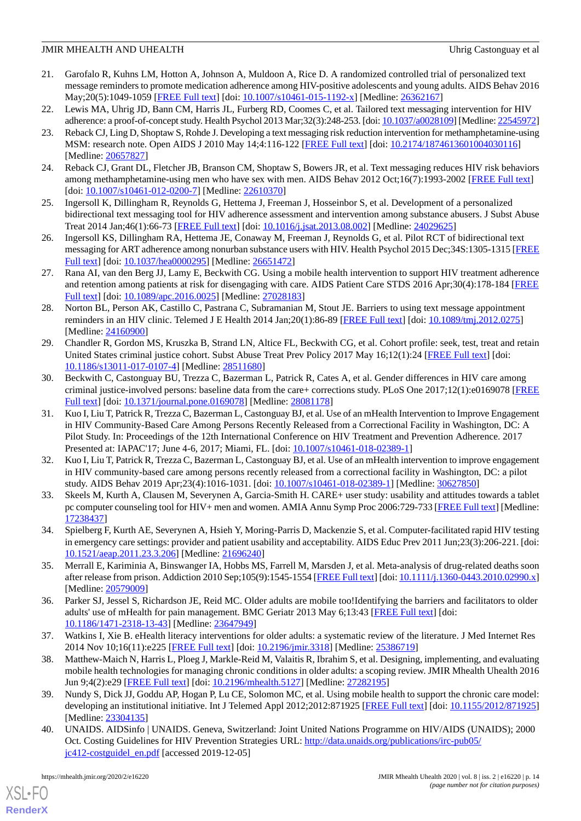- 21. Garofalo R, Kuhns LM, Hotton A, Johnson A, Muldoon A, Rice D. A randomized controlled trial of personalized text message reminders to promote medication adherence among HIV-positive adolescents and young adults. AIDS Behav 2016 May;20(5):1049-1059 [\[FREE Full text\]](http://europepmc.org/abstract/MED/26362167) [doi: [10.1007/s10461-015-1192-x](http://dx.doi.org/10.1007/s10461-015-1192-x)] [Medline: [26362167\]](http://www.ncbi.nlm.nih.gov/entrez/query.fcgi?cmd=Retrieve&db=PubMed&list_uids=26362167&dopt=Abstract)
- 22. Lewis MA, Uhrig JD, Bann CM, Harris JL, Furberg RD, Coomes C, et al. Tailored text messaging intervention for HIV adherence: a proof-of-concept study. Health Psychol 2013 Mar;32(3):248-253. [doi: [10.1037/a0028109\]](http://dx.doi.org/10.1037/a0028109) [Medline: [22545972\]](http://www.ncbi.nlm.nih.gov/entrez/query.fcgi?cmd=Retrieve&db=PubMed&list_uids=22545972&dopt=Abstract)
- 23. Reback CJ, Ling D, Shoptaw S, Rohde J. Developing a text messaging risk reduction intervention for methamphetamine-using MSM: research note. Open AIDS J 2010 May 14;4:116-122 [[FREE Full text](http://europepmc.org/abstract/MED/20657827)] [doi: [10.2174/1874613601004030116](http://dx.doi.org/10.2174/1874613601004030116)] [Medline: [20657827](http://www.ncbi.nlm.nih.gov/entrez/query.fcgi?cmd=Retrieve&db=PubMed&list_uids=20657827&dopt=Abstract)]
- 24. Reback CJ, Grant DL, Fletcher JB, Branson CM, Shoptaw S, Bowers JR, et al. Text messaging reduces HIV risk behaviors among methamphetamine-using men who have sex with men. AIDS Behav 2012 Oct;16(7):1993-2002 [\[FREE Full text\]](http://europepmc.org/abstract/MED/22610370) [doi: [10.1007/s10461-012-0200-7](http://dx.doi.org/10.1007/s10461-012-0200-7)] [Medline: [22610370\]](http://www.ncbi.nlm.nih.gov/entrez/query.fcgi?cmd=Retrieve&db=PubMed&list_uids=22610370&dopt=Abstract)
- 25. Ingersoll K, Dillingham R, Reynolds G, Hettema J, Freeman J, Hosseinbor S, et al. Development of a personalized bidirectional text messaging tool for HIV adherence assessment and intervention among substance abusers. J Subst Abuse Treat 2014 Jan;46(1):66-73 [[FREE Full text](http://europepmc.org/abstract/MED/24029625)] [doi: [10.1016/j.jsat.2013.08.002\]](http://dx.doi.org/10.1016/j.jsat.2013.08.002) [Medline: [24029625](http://www.ncbi.nlm.nih.gov/entrez/query.fcgi?cmd=Retrieve&db=PubMed&list_uids=24029625&dopt=Abstract)]
- 26. Ingersoll KS, Dillingham RA, Hettema JE, Conaway M, Freeman J, Reynolds G, et al. Pilot RCT of bidirectional text messaging for ART adherence among nonurban substance users with HIV. Health Psychol 2015 Dec;34S:1305-1315 [\[FREE](http://europepmc.org/abstract/MED/26651472) [Full text\]](http://europepmc.org/abstract/MED/26651472) [doi: [10.1037/hea0000295](http://dx.doi.org/10.1037/hea0000295)] [Medline: [26651472](http://www.ncbi.nlm.nih.gov/entrez/query.fcgi?cmd=Retrieve&db=PubMed&list_uids=26651472&dopt=Abstract)]
- <span id="page-13-0"></span>27. Rana AI, van den Berg JJ, Lamy E, Beckwith CG. Using a mobile health intervention to support HIV treatment adherence and retention among patients at risk for disengaging with care. AIDS Patient Care STDS 2016 Apr;30(4):178-184 [[FREE](http://europepmc.org/abstract/MED/27028183) [Full text\]](http://europepmc.org/abstract/MED/27028183) [doi: [10.1089/apc.2016.0025](http://dx.doi.org/10.1089/apc.2016.0025)] [Medline: [27028183](http://www.ncbi.nlm.nih.gov/entrez/query.fcgi?cmd=Retrieve&db=PubMed&list_uids=27028183&dopt=Abstract)]
- <span id="page-13-1"></span>28. Norton BL, Person AK, Castillo C, Pastrana C, Subramanian M, Stout JE. Barriers to using text message appointment reminders in an HIV clinic. Telemed J E Health 2014 Jan;20(1):86-89 [[FREE Full text](http://europepmc.org/abstract/MED/24160900)] [doi: [10.1089/tmj.2012.0275](http://dx.doi.org/10.1089/tmj.2012.0275)] [Medline: [24160900](http://www.ncbi.nlm.nih.gov/entrez/query.fcgi?cmd=Retrieve&db=PubMed&list_uids=24160900&dopt=Abstract)]
- <span id="page-13-2"></span>29. Chandler R, Gordon MS, Kruszka B, Strand LN, Altice FL, Beckwith CG, et al. Cohort profile: seek, test, treat and retain United States criminal justice cohort. Subst Abuse Treat Prev Policy 2017 May 16;12(1):24 [\[FREE Full text\]](https://substanceabusepolicy.biomedcentral.com/articles/10.1186/s13011-017-0107-4) [doi: [10.1186/s13011-017-0107-4\]](http://dx.doi.org/10.1186/s13011-017-0107-4) [Medline: [28511680](http://www.ncbi.nlm.nih.gov/entrez/query.fcgi?cmd=Retrieve&db=PubMed&list_uids=28511680&dopt=Abstract)]
- 30. Beckwith C, Castonguay BU, Trezza C, Bazerman L, Patrick R, Cates A, et al. Gender differences in HIV care among criminal justice-involved persons: baseline data from the care+ corrections study. PLoS One 2017;12(1):e0169078 [\[FREE](http://dx.plos.org/10.1371/journal.pone.0169078) [Full text\]](http://dx.plos.org/10.1371/journal.pone.0169078) [doi: [10.1371/journal.pone.0169078](http://dx.doi.org/10.1371/journal.pone.0169078)] [Medline: [28081178](http://www.ncbi.nlm.nih.gov/entrez/query.fcgi?cmd=Retrieve&db=PubMed&list_uids=28081178&dopt=Abstract)]
- <span id="page-13-3"></span>31. Kuo I, Liu T, Patrick R, Trezza C, Bazerman L, Castonguay BJ, et al. Use of an mHealth Intervention to Improve Engagement in HIV Community-Based Care Among Persons Recently Released from a Correctional Facility in Washington, DC: A Pilot Study. In: Proceedings of the 12th International Conference on HIV Treatment and Prevention Adherence. 2017 Presented at: IAPAC'17; June 4-6, 2017; Miami, FL. [doi:  $10.1007/s10461-018-02389-1$ ]
- <span id="page-13-5"></span><span id="page-13-4"></span>32. Kuo I, Liu T, Patrick R, Trezza C, Bazerman L, Castonguay BJ, et al. Use of an mHealth intervention to improve engagement in HIV community-based care among persons recently released from a correctional facility in Washington, DC: a pilot study. AIDS Behav 2019 Apr;23(4):1016-1031. [doi: [10.1007/s10461-018-02389-1](http://dx.doi.org/10.1007/s10461-018-02389-1)] [Medline: [30627850](http://www.ncbi.nlm.nih.gov/entrez/query.fcgi?cmd=Retrieve&db=PubMed&list_uids=30627850&dopt=Abstract)]
- <span id="page-13-6"></span>33. Skeels M, Kurth A, Clausen M, Severynen A, Garcia-Smith H. CARE+ user study: usability and attitudes towards a tablet pc computer counseling tool for HIV+ men and women. AMIA Annu Symp Proc 2006:729-733 [[FREE Full text](http://europepmc.org/abstract/MED/17238437)] [Medline: [17238437](http://www.ncbi.nlm.nih.gov/entrez/query.fcgi?cmd=Retrieve&db=PubMed&list_uids=17238437&dopt=Abstract)]
- <span id="page-13-7"></span>34. Spielberg F, Kurth AE, Severynen A, Hsieh Y, Moring-Parris D, Mackenzie S, et al. Computer-facilitated rapid HIV testing in emergency care settings: provider and patient usability and acceptability. AIDS Educ Prev 2011 Jun;23(3):206-221. [doi: [10.1521/aeap.2011.23.3.206](http://dx.doi.org/10.1521/aeap.2011.23.3.206)] [Medline: [21696240\]](http://www.ncbi.nlm.nih.gov/entrez/query.fcgi?cmd=Retrieve&db=PubMed&list_uids=21696240&dopt=Abstract)
- <span id="page-13-8"></span>35. Merrall E, Kariminia A, Binswanger IA, Hobbs MS, Farrell M, Marsden J, et al. Meta-analysis of drug-related deaths soon after release from prison. Addiction 2010 Sep;105(9):1545-1554 [[FREE Full text\]](https://dx.doi.org/10.1111/j.1360-0443.2010.02990.x) [doi: [10.1111/j.1360-0443.2010.02990.x](http://dx.doi.org/10.1111/j.1360-0443.2010.02990.x)] [Medline: [20579009](http://www.ncbi.nlm.nih.gov/entrez/query.fcgi?cmd=Retrieve&db=PubMed&list_uids=20579009&dopt=Abstract)]
- <span id="page-13-9"></span>36. Parker SJ, Jessel S, Richardson JE, Reid MC. Older adults are mobile too!Identifying the barriers and facilitators to older adults' use of mHealth for pain management. BMC Geriatr 2013 May 6;13:43 [[FREE Full text\]](https://bmcgeriatr.biomedcentral.com/articles/10.1186/1471-2318-13-43) [doi: [10.1186/1471-2318-13-43\]](http://dx.doi.org/10.1186/1471-2318-13-43) [Medline: [23647949\]](http://www.ncbi.nlm.nih.gov/entrez/query.fcgi?cmd=Retrieve&db=PubMed&list_uids=23647949&dopt=Abstract)
- <span id="page-13-10"></span>37. Watkins I, Xie B. eHealth literacy interventions for older adults: a systematic review of the literature. J Med Internet Res 2014 Nov 10;16(11):e225 [\[FREE Full text](https://www.jmir.org/2014/11/e225/)] [doi: [10.2196/jmir.3318\]](http://dx.doi.org/10.2196/jmir.3318) [Medline: [25386719](http://www.ncbi.nlm.nih.gov/entrez/query.fcgi?cmd=Retrieve&db=PubMed&list_uids=25386719&dopt=Abstract)]
- <span id="page-13-11"></span>38. Matthew-Maich N, Harris L, Ploeg J, Markle-Reid M, Valaitis R, Ibrahim S, et al. Designing, implementing, and evaluating mobile health technologies for managing chronic conditions in older adults: a scoping review. JMIR Mhealth Uhealth 2016 Jun 9;4(2):e29 [\[FREE Full text\]](https://mhealth.jmir.org/2016/2/e29/) [doi: [10.2196/mhealth.5127](http://dx.doi.org/10.2196/mhealth.5127)] [Medline: [27282195\]](http://www.ncbi.nlm.nih.gov/entrez/query.fcgi?cmd=Retrieve&db=PubMed&list_uids=27282195&dopt=Abstract)
- 39. Nundy S, Dick JJ, Goddu AP, Hogan P, Lu CE, Solomon MC, et al. Using mobile health to support the chronic care model: developing an institutional initiative. Int J Telemed Appl 2012;2012:871925 [\[FREE Full text](https://dx.doi.org/10.1155/2012/871925)] [doi: [10.1155/2012/871925](http://dx.doi.org/10.1155/2012/871925)] [Medline: [23304135](http://www.ncbi.nlm.nih.gov/entrez/query.fcgi?cmd=Retrieve&db=PubMed&list_uids=23304135&dopt=Abstract)]
- 40. UNAIDS. AIDSinfo | UNAIDS. Geneva, Switzerland: Joint United Nations Programme on HIV/AIDS (UNAIDS); 2000 Oct. Costing Guidelines for HIV Prevention Strategies URL: [http://data.unaids.org/publications/irc-pub05/](http://data.unaids.org/publications/irc-pub05/jc412-costguidel_en.pdf) [jc412-costguidel\\_en.pdf](http://data.unaids.org/publications/irc-pub05/jc412-costguidel_en.pdf) [accessed 2019-12-05]